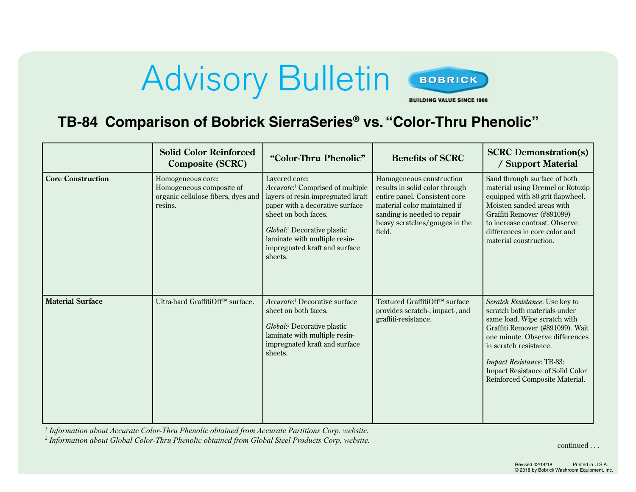## Advisory Bulletin BOBRICK



**BUILDING VALUE SINCE 1906** 

**TB-84 Comparison of Bobrick SierraSeries® vs. "Color-Thru Phenolic"**

|                          | <b>Solid Color Reinforced</b><br><b>Composite (SCRC)</b>                                       | "Color-Thru Phenolic"                                                                                                                                                                                                                                                                         | <b>Benefits of SCRC</b>                                                                                                                                                                               | <b>SCRC</b> Demonstration(s)<br>/ Support Material                                                                                                                                                                                                                                                        |
|--------------------------|------------------------------------------------------------------------------------------------|-----------------------------------------------------------------------------------------------------------------------------------------------------------------------------------------------------------------------------------------------------------------------------------------------|-------------------------------------------------------------------------------------------------------------------------------------------------------------------------------------------------------|-----------------------------------------------------------------------------------------------------------------------------------------------------------------------------------------------------------------------------------------------------------------------------------------------------------|
| <b>Core Construction</b> | Homogeneous core:<br>Homogeneous composite of<br>organic cellulose fibers, dyes and<br>resins. | Layered core:<br>Accurate: <sup>1</sup> Comprised of multiple<br>layers of resin-impregnated kraft<br>paper with a decorative surface<br>sheet on both faces.<br><i>Global</i> : <sup>2</sup> Decorative plastic<br>laminate with multiple resin-<br>impregnated kraft and surface<br>sheets. | Homogeneous construction<br>results in solid color through<br>entire panel. Consistent core<br>material color maintained if<br>sanding is needed to repair<br>heavy scratches/gouges in the<br>field. | Sand through surface of both<br>material using Dremel or Rotozip<br>equipped with 80-grit flapwheel.<br>Moisten sanded areas with<br>Graffiti Remover (#891099)<br>to increase contrast. Observe<br>differences in core color and<br>material construction.                                               |
| <b>Material Surface</b>  | Ultra-hard GraffitiOff <sup>™</sup> surface.                                                   | <i>Accurate:</i> <sup>1</sup> Decorative surface<br>sheet on both faces.<br>Global: <sup>2</sup> Decorative plastic<br>laminate with multiple resin-<br>impregnated kraft and surface<br>sheets.                                                                                              | Textured GraffitiOff™ surface<br>provides scratch-, impact-, and<br>graffiti-resistance.                                                                                                              | Scratch Resistance: Use key to<br>scratch both materials under<br>same load. Wipe scratch with<br>Graffiti Remover (#891099). Wait<br>one minute. Observe differences<br>in scratch resistance.<br>Impact Resistance: TB-83:<br><b>Impact Resistance of Solid Color</b><br>Reinforced Composite Material. |

*1 Information about Accurate Color-Thru Phenolic obtained from Accurate Partitions Corp. website.*

*2 Information about Global Color-Thru Phenolic obtained from Global Steel Products Corp. website.* continued . . .